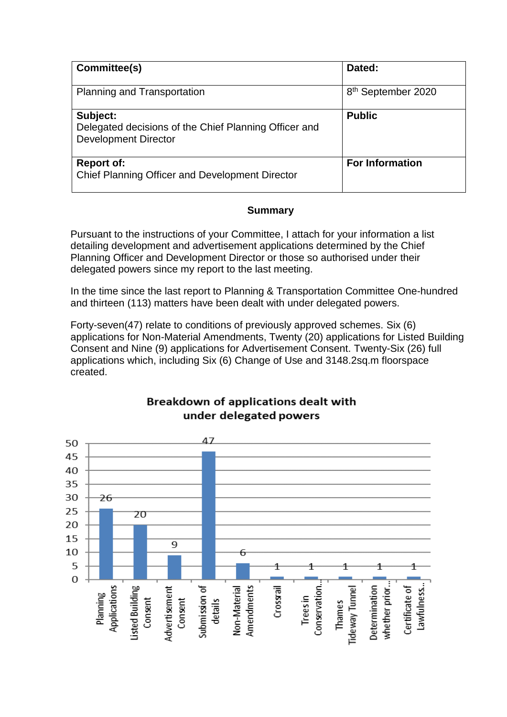| Committee(s)                                                                                     | Dated:                         |
|--------------------------------------------------------------------------------------------------|--------------------------------|
| <b>Planning and Transportation</b>                                                               | 8 <sup>th</sup> September 2020 |
| Subject:<br>Delegated decisions of the Chief Planning Officer and<br><b>Development Director</b> | <b>Public</b>                  |
| <b>Report of:</b><br>Chief Planning Officer and Development Director                             | <b>For Information</b>         |

## **Summary**

Pursuant to the instructions of your Committee, I attach for your information a list detailing development and advertisement applications determined by the Chief Planning Officer and Development Director or those so authorised under their delegated powers since my report to the last meeting.

In the time since the last report to Planning & Transportation Committee One-hundred and thirteen (113) matters have been dealt with under delegated powers.

Forty-seven(47) relate to conditions of previously approved schemes. Six (6) applications for Non-Material Amendments, Twenty (20) applications for Listed Building Consent and Nine (9) applications for Advertisement Consent. Twenty-Six (26) full applications which, including Six (6) Change of Use and 3148.2sq.m floorspace created.



## Breakdown of applications dealt with under delegated powers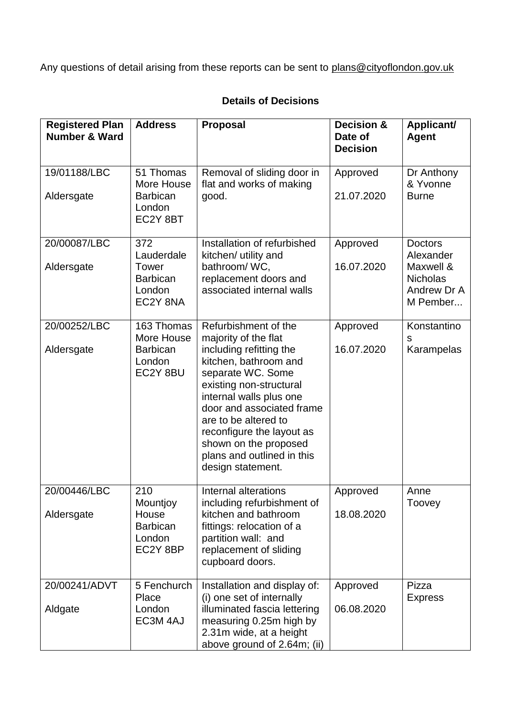Any questions of detail arising from these reports can be sent to [plans@cityoflondon.gov.uk](mailto:plans@cityoflondon.gov.uk)

| <b>Registered Plan</b><br><b>Number &amp; Ward</b> | <b>Address</b>                                                      | <b>Proposal</b>                                                                                                                                                                                                                                                                                                                           | <b>Decision &amp;</b><br>Date of<br><b>Decision</b> | Applicant/<br><b>Agent</b>                                                             |
|----------------------------------------------------|---------------------------------------------------------------------|-------------------------------------------------------------------------------------------------------------------------------------------------------------------------------------------------------------------------------------------------------------------------------------------------------------------------------------------|-----------------------------------------------------|----------------------------------------------------------------------------------------|
| 19/01188/LBC<br>Aldersgate                         | 51 Thomas<br>More House<br><b>Barbican</b><br>London<br>EC2Y 8BT    | Removal of sliding door in<br>flat and works of making<br>good.                                                                                                                                                                                                                                                                           | Approved<br>21.07.2020                              | Dr Anthony<br>& Yvonne<br><b>Burne</b>                                                 |
| 20/00087/LBC<br>Aldersgate                         | 372<br>Lauderdale<br>Tower<br><b>Barbican</b><br>London<br>EC2Y 8NA | Installation of refurbished<br>kitchen/ utility and<br>bathroom/WC,<br>replacement doors and<br>associated internal walls                                                                                                                                                                                                                 | Approved<br>16.07.2020                              | <b>Doctors</b><br>Alexander<br>Maxwell &<br><b>Nicholas</b><br>Andrew Dr A<br>M Pember |
| 20/00252/LBC<br>Aldersgate                         | 163 Thomas<br>More House<br><b>Barbican</b><br>London<br>EC2Y 8BU   | Refurbishment of the<br>majority of the flat<br>including refitting the<br>kitchen, bathroom and<br>separate WC. Some<br>existing non-structural<br>internal walls plus one<br>door and associated frame<br>are to be altered to<br>reconfigure the layout as<br>shown on the proposed<br>plans and outlined in this<br>design statement. | Approved<br>16.07.2020                              | Konstantino<br>s<br>Karampelas                                                         |
| 20/00446/LBC<br>Aldersgate                         | 210<br>Mountjoy<br>House<br><b>Barbican</b><br>London<br>EC2Y 8BP   | Internal alterations<br>including refurbishment of<br>kitchen and bathroom<br>fittings: relocation of a<br>partition wall: and<br>replacement of sliding<br>cupboard doors.                                                                                                                                                               | Approved<br>18.08.2020                              | Anne<br>Toovey                                                                         |
| 20/00241/ADVT<br>Aldgate                           | 5 Fenchurch<br>Place<br>London<br>EC3M 4AJ                          | Installation and display of:<br>(i) one set of internally<br>illuminated fascia lettering<br>measuring 0.25m high by<br>2.31m wide, at a height<br>above ground of 2.64m; (ii)                                                                                                                                                            | Approved<br>06.08.2020                              | Pizza<br><b>Express</b>                                                                |

## **Details of Decisions**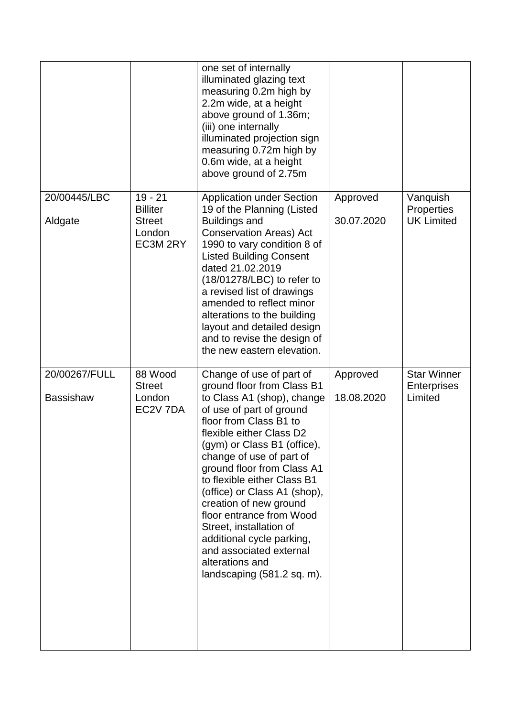|                                   |                                                                     | one set of internally<br>illuminated glazing text<br>measuring 0.2m high by<br>2.2m wide, at a height<br>above ground of 1.36m;<br>(iii) one internally<br>illuminated projection sign<br>measuring 0.72m high by<br>0.6m wide, at a height<br>above ground of 2.75m                                                                                                                                                                                                                                                     |                        |                                                     |
|-----------------------------------|---------------------------------------------------------------------|--------------------------------------------------------------------------------------------------------------------------------------------------------------------------------------------------------------------------------------------------------------------------------------------------------------------------------------------------------------------------------------------------------------------------------------------------------------------------------------------------------------------------|------------------------|-----------------------------------------------------|
| 20/00445/LBC<br>Aldgate           | $19 - 21$<br><b>Billiter</b><br><b>Street</b><br>London<br>EC3M 2RY | <b>Application under Section</b><br>19 of the Planning (Listed<br><b>Buildings and</b><br><b>Conservation Areas) Act</b><br>1990 to vary condition 8 of<br><b>Listed Building Consent</b><br>dated 21.02.2019<br>(18/01278/LBC) to refer to<br>a revised list of drawings<br>amended to reflect minor<br>alterations to the building<br>layout and detailed design<br>and to revise the design of<br>the new eastern elevation.                                                                                          | Approved<br>30.07.2020 | Vanquish<br>Properties<br><b>UK Limited</b>         |
| 20/00267/FULL<br><b>Bassishaw</b> | 88 Wood<br><b>Street</b><br>London<br>EC2V 7DA                      | Change of use of part of<br>ground floor from Class B1<br>to Class A1 (shop), change<br>of use of part of ground<br>floor from Class B1 to<br>flexible either Class D2<br>(gym) or Class B1 (office),<br>change of use of part of<br>ground floor from Class A1<br>to flexible either Class B1<br>(office) or Class A1 (shop),<br>creation of new ground<br>floor entrance from Wood<br>Street, installation of<br>additional cycle parking,<br>and associated external<br>alterations and<br>landscaping (581.2 sq. m). | Approved<br>18.08.2020 | <b>Star Winner</b><br><b>Enterprises</b><br>Limited |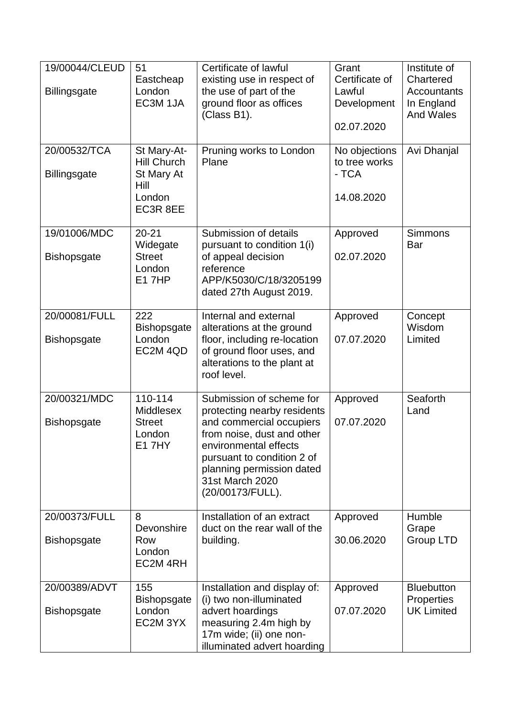| 19/00044/CLEUD<br><b>Billingsgate</b> | 51<br>Eastcheap<br>London<br>EC3M 1JA                                         | Certificate of lawful<br>existing use in respect of<br>the use of part of the<br>ground floor as offices<br>(Class B1).                                                                                                                      | Grant<br>Certificate of<br>Lawful<br>Development<br>02.07.2020 | Institute of<br>Chartered<br>Accountants<br>In England<br><b>And Wales</b> |
|---------------------------------------|-------------------------------------------------------------------------------|----------------------------------------------------------------------------------------------------------------------------------------------------------------------------------------------------------------------------------------------|----------------------------------------------------------------|----------------------------------------------------------------------------|
| 20/00532/TCA<br><b>Billingsgate</b>   | St Mary-At-<br><b>Hill Church</b><br>St Mary At<br>Hill<br>London<br>EC3R 8EE | Pruning works to London<br>Plane                                                                                                                                                                                                             | No objections<br>to tree works<br>- TCA<br>14.08.2020          | Avi Dhanjal                                                                |
| 19/01006/MDC<br><b>Bishopsgate</b>    | $20 - 21$<br>Widegate<br><b>Street</b><br>London<br><b>E17HP</b>              | Submission of details<br>pursuant to condition 1(i)<br>of appeal decision<br>reference<br>APP/K5030/C/18/3205199<br>dated 27th August 2019.                                                                                                  | Approved<br>02.07.2020                                         | <b>Simmons</b><br>Bar                                                      |
| 20/00081/FULL<br><b>Bishopsgate</b>   | 222<br><b>Bishopsgate</b><br>London<br>EC2M 4QD                               | Internal and external<br>alterations at the ground<br>floor, including re-location<br>of ground floor uses, and<br>alterations to the plant at<br>roof level.                                                                                | Approved<br>07.07.2020                                         | Concept<br>Wisdom<br>Limited                                               |
| 20/00321/MDC<br><b>Bishopsgate</b>    | 110-114<br><b>Middlesex</b><br><b>Street</b><br>London<br><b>E17HY</b>        | Submission of scheme for<br>protecting nearby residents<br>and commercial occupiers<br>from noise, dust and other<br>environmental effects<br>pursuant to condition 2 of<br>planning permission dated<br>31st March 2020<br>(20/00173/FULL). | Approved<br>07.07.2020                                         | Seaforth<br>Land                                                           |
| 20/00373/FULL<br><b>Bishopsgate</b>   | 8<br>Devonshire<br>Row<br>London<br>EC2M 4RH                                  | Installation of an extract<br>duct on the rear wall of the<br>building.                                                                                                                                                                      | Approved<br>30.06.2020                                         | Humble<br>Grape<br>Group LTD                                               |
| 20/00389/ADVT<br><b>Bishopsgate</b>   | 155<br><b>Bishopsgate</b><br>London<br>EC2M 3YX                               | Installation and display of:<br>(i) two non-illuminated<br>advert hoardings<br>measuring 2.4m high by<br>17m wide; (ii) one non-<br>illuminated advert hoarding                                                                              | Approved<br>07.07.2020                                         | <b>Bluebutton</b><br>Properties<br><b>UK Limited</b>                       |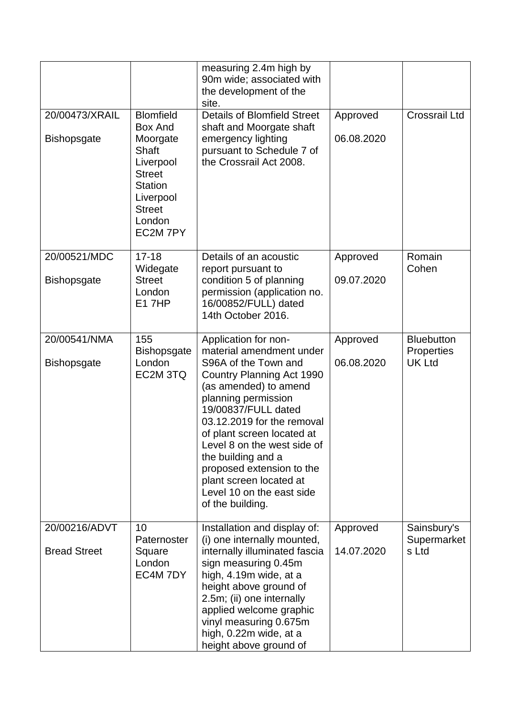|                                      |                                                                                                                                                      | measuring 2.4m high by<br>90m wide; associated with<br>the development of the<br>site.                                                                                                                                                                                                                                                                                                                 |                        |                                                  |
|--------------------------------------|------------------------------------------------------------------------------------------------------------------------------------------------------|--------------------------------------------------------------------------------------------------------------------------------------------------------------------------------------------------------------------------------------------------------------------------------------------------------------------------------------------------------------------------------------------------------|------------------------|--------------------------------------------------|
| 20/00473/XRAIL<br><b>Bishopsgate</b> | <b>Blomfield</b><br>Box And<br>Moorgate<br>Shaft<br>Liverpool<br><b>Street</b><br><b>Station</b><br>Liverpool<br><b>Street</b><br>London<br>EC2M 7PY | <b>Details of Blomfield Street</b><br>shaft and Moorgate shaft<br>emergency lighting<br>pursuant to Schedule 7 of<br>the Crossrail Act 2008.                                                                                                                                                                                                                                                           | Approved<br>06.08.2020 | <b>Crossrail Ltd</b>                             |
| 20/00521/MDC<br><b>Bishopsgate</b>   | $17 - 18$<br>Widegate<br><b>Street</b><br>London<br><b>E17HP</b>                                                                                     | Details of an acoustic<br>report pursuant to<br>condition 5 of planning<br>permission (application no.<br>16/00852/FULL) dated<br>14th October 2016.                                                                                                                                                                                                                                                   | Approved<br>09.07.2020 | Romain<br>Cohen                                  |
| 20/00541/NMA<br><b>Bishopsgate</b>   | 155<br><b>Bishopsgate</b><br>London<br>EC2M 3TQ                                                                                                      | Application for non-<br>material amendment under<br>S96A of the Town and<br>Country Planning Act 1990<br>(as amended) to amend<br>planning permission<br>19/00837/FULL dated<br>03.12.2019 for the removal<br>of plant screen located at<br>Level 8 on the west side of<br>the building and a<br>proposed extension to the<br>plant screen located at<br>Level 10 on the east side<br>of the building. | Approved<br>06.08.2020 | <b>Bluebutton</b><br>Properties<br><b>UK Ltd</b> |
| 20/00216/ADVT<br><b>Bread Street</b> | 10<br>Paternoster<br>Square<br>London<br>EC4M 7DY                                                                                                    | Installation and display of:<br>(i) one internally mounted,<br>internally illuminated fascia<br>sign measuring 0.45m<br>high, 4.19m wide, at a<br>height above ground of<br>2.5m; (ii) one internally<br>applied welcome graphic<br>vinyl measuring 0.675m<br>high, 0.22m wide, at a<br>height above ground of                                                                                         | Approved<br>14.07.2020 | Sainsbury's<br>Supermarket<br>s Ltd              |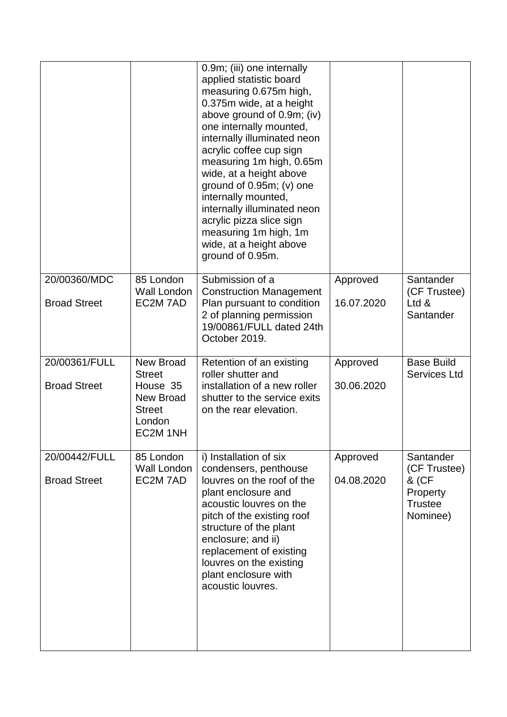|                                      |                                                                                                   | 0.9m; (iii) one internally<br>applied statistic board<br>measuring 0.675m high,<br>0.375m wide, at a height<br>above ground of 0.9m; (iv)<br>one internally mounted,<br>internally illuminated neon<br>acrylic coffee cup sign<br>measuring 1m high, 0.65m<br>wide, at a height above<br>ground of $0.95m$ ; (v) one<br>internally mounted,<br>internally illuminated neon<br>acrylic pizza slice sign<br>measuring 1m high, 1m<br>wide, at a height above<br>ground of 0.95m. |                        |                                                                              |
|--------------------------------------|---------------------------------------------------------------------------------------------------|--------------------------------------------------------------------------------------------------------------------------------------------------------------------------------------------------------------------------------------------------------------------------------------------------------------------------------------------------------------------------------------------------------------------------------------------------------------------------------|------------------------|------------------------------------------------------------------------------|
| 20/00360/MDC<br><b>Broad Street</b>  | 85 London<br>Wall London<br>EC2M 7AD                                                              | Submission of a<br><b>Construction Management</b><br>Plan pursuant to condition<br>2 of planning permission<br>19/00861/FULL dated 24th<br>October 2019.                                                                                                                                                                                                                                                                                                                       | Approved<br>16.07.2020 | Santander<br>(CF Trustee)<br>Ltd &<br>Santander                              |
| 20/00361/FULL<br><b>Broad Street</b> | New Broad<br><b>Street</b><br>House 35<br><b>New Broad</b><br><b>Street</b><br>London<br>EC2M 1NH | Retention of an existing<br>roller shutter and<br>installation of a new roller<br>shutter to the service exits<br>on the rear elevation.                                                                                                                                                                                                                                                                                                                                       | Approved<br>30.06.2020 | <b>Base Build</b><br>Services Ltd                                            |
| 20/00442/FULL<br><b>Broad Street</b> | 85 London<br>Wall London<br>EC2M 7AD                                                              | i) Installation of six<br>condensers, penthouse<br>louvres on the roof of the<br>plant enclosure and<br>acoustic louvres on the<br>pitch of the existing roof<br>structure of the plant<br>enclosure; and ii)<br>replacement of existing<br>louvres on the existing<br>plant enclosure with<br>acoustic louvres.                                                                                                                                                               | Approved<br>04.08.2020 | Santander<br>(CF Trustee)<br>& (CF<br>Property<br><b>Trustee</b><br>Nominee) |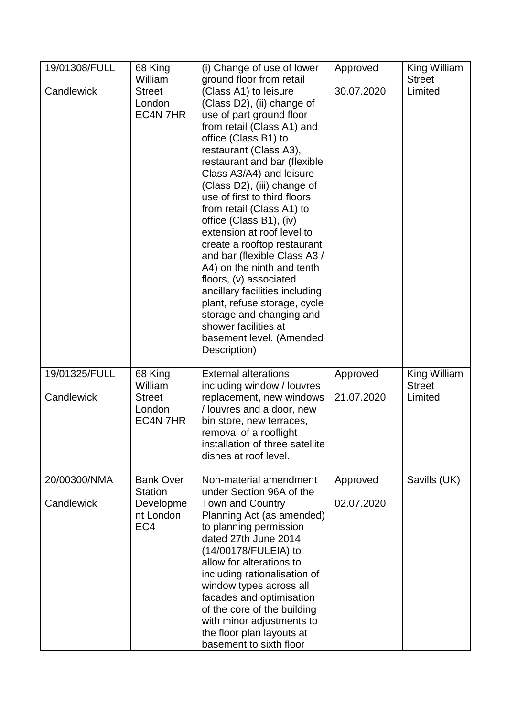| 19/01308/FULL<br>Candlewick | 68 King<br>William<br><b>Street</b><br>London<br>EC4N 7HR                       | (i) Change of use of lower<br>ground floor from retail<br>(Class A1) to leisure<br>(Class D2), (ii) change of<br>use of part ground floor<br>from retail (Class A1) and<br>office (Class B1) to<br>restaurant (Class A3),<br>restaurant and bar (flexible<br>Class A3/A4) and leisure<br>(Class D2), (iii) change of<br>use of first to third floors<br>from retail (Class A1) to<br>office (Class B1), (iv)<br>extension at roof level to<br>create a rooftop restaurant<br>and bar (flexible Class A3 /<br>A4) on the ninth and tenth<br>floors, (v) associated<br>ancillary facilities including<br>plant, refuse storage, cycle<br>storage and changing and<br>shower facilities at<br>basement level. (Amended | Approved<br>30.07.2020 | King William<br><b>Street</b><br>Limited |
|-----------------------------|---------------------------------------------------------------------------------|---------------------------------------------------------------------------------------------------------------------------------------------------------------------------------------------------------------------------------------------------------------------------------------------------------------------------------------------------------------------------------------------------------------------------------------------------------------------------------------------------------------------------------------------------------------------------------------------------------------------------------------------------------------------------------------------------------------------|------------------------|------------------------------------------|
| 19/01325/FULL<br>Candlewick | 68 King<br>William<br><b>Street</b><br>London<br>EC4N 7HR                       | Description)<br><b>External alterations</b><br>including window / louvres<br>replacement, new windows<br>/ louvres and a door, new<br>bin store, new terraces,<br>removal of a rooflight<br>installation of three satellite<br>dishes at roof level.                                                                                                                                                                                                                                                                                                                                                                                                                                                                | Approved<br>21.07.2020 | King William<br><b>Street</b><br>Limited |
| 20/00300/NMA<br>Candlewick  | <b>Bank Over</b><br><b>Station</b><br>Developme<br>nt London<br>EC <sub>4</sub> | Non-material amendment<br>under Section 96A of the<br>Town and Country<br>Planning Act (as amended)<br>to planning permission<br>dated 27th June 2014<br>(14/00178/FULEIA) to<br>allow for alterations to<br>including rationalisation of<br>window types across all<br>facades and optimisation<br>of the core of the building<br>with minor adjustments to<br>the floor plan layouts at<br>basement to sixth floor                                                                                                                                                                                                                                                                                                | Approved<br>02.07.2020 | Savills (UK)                             |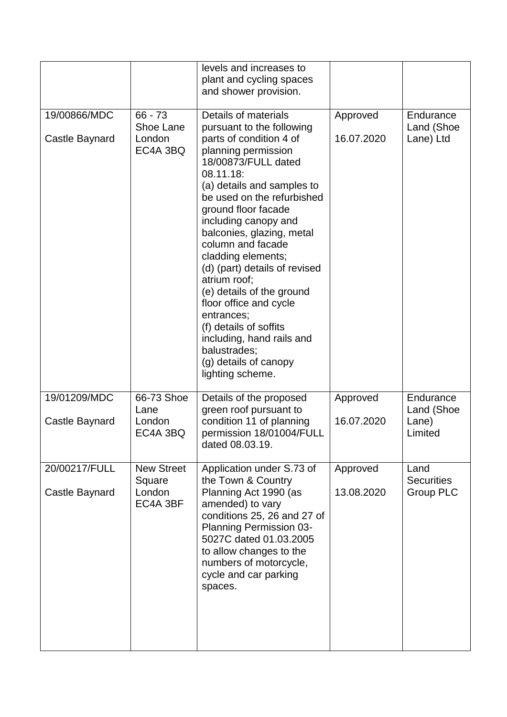|                                 |                                                   | levels and increases to<br>plant and cycling spaces<br>and shower provision.                                                                                                                                                                                                                                                                                                                                                                                                                                                                                         |                        |                                             |
|---------------------------------|---------------------------------------------------|----------------------------------------------------------------------------------------------------------------------------------------------------------------------------------------------------------------------------------------------------------------------------------------------------------------------------------------------------------------------------------------------------------------------------------------------------------------------------------------------------------------------------------------------------------------------|------------------------|---------------------------------------------|
| 19/00866/MDC<br>Castle Baynard  | $66 - 73$<br>Shoe Lane<br>London<br>EC4A 3BQ      | Details of materials<br>pursuant to the following<br>parts of condition 4 of<br>planning permission<br>18/00873/FULL dated<br>08.11.18:<br>(a) details and samples to<br>be used on the refurbished<br>ground floor facade<br>including canopy and<br>balconies, glazing, metal<br>column and facade<br>cladding elements;<br>(d) (part) details of revised<br>atrium roof;<br>(e) details of the ground<br>floor office and cycle<br>entrances;<br>(f) details of soffits<br>including, hand rails and<br>balustrades;<br>(g) details of canopy<br>lighting scheme. | Approved<br>16.07.2020 | Endurance<br>Land (Shoe<br>Lane) Ltd        |
| 19/01209/MDC<br>Castle Baynard  | 66-73 Shoe<br>Lane<br>London<br>EC4A 3BQ          | Details of the proposed<br>green roof pursuant to<br>condition 11 of planning<br>permission 18/01004/FULL<br>dated 08.03.19.                                                                                                                                                                                                                                                                                                                                                                                                                                         | Approved<br>16.07.2020 | Endurance<br>Land (Shoe<br>Lane)<br>Limited |
| 20/00217/FULL<br>Castle Baynard | <b>New Street</b><br>Square<br>London<br>EC4A 3BF | Application under S.73 of<br>the Town & Country<br>Planning Act 1990 (as<br>amended) to vary<br>conditions 25, 26 and 27 of<br><b>Planning Permission 03-</b><br>5027C dated 01.03.2005<br>to allow changes to the<br>numbers of motorcycle,<br>cycle and car parking<br>spaces.                                                                                                                                                                                                                                                                                     | Approved<br>13.08.2020 | Land<br><b>Securities</b><br>Group PLC      |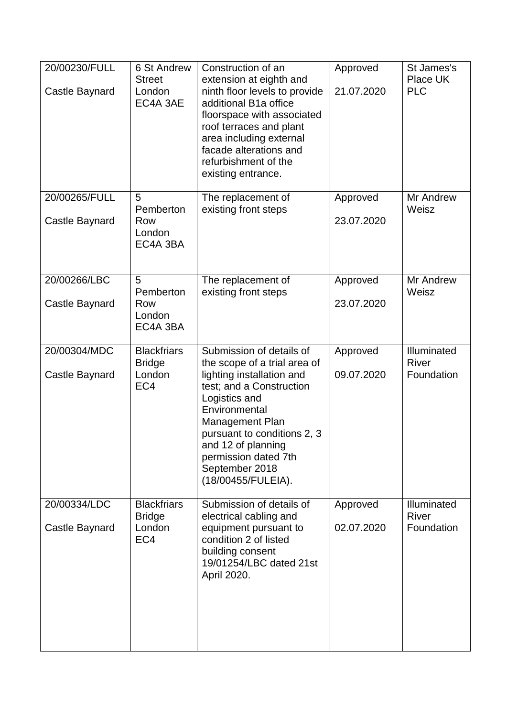| 20/00230/FULL<br>Castle Baynard | 6 St Andrew<br><b>Street</b><br>London<br>EC4A 3AE               | Construction of an<br>extension at eighth and<br>ninth floor levels to provide<br>additional B1a office<br>floorspace with associated<br>roof terraces and plant<br>area including external<br>facade alterations and<br>refurbishment of the<br>existing entrance.                                | Approved<br>21.07.2020 | St James's<br>Place UK<br><b>PLC</b>      |
|---------------------------------|------------------------------------------------------------------|----------------------------------------------------------------------------------------------------------------------------------------------------------------------------------------------------------------------------------------------------------------------------------------------------|------------------------|-------------------------------------------|
| 20/00265/FULL<br>Castle Baynard | 5<br>Pemberton<br>Row<br>London<br>EC4A 3BA                      | The replacement of<br>existing front steps                                                                                                                                                                                                                                                         | Approved<br>23.07.2020 | Mr Andrew<br>Weisz                        |
| 20/00266/LBC<br>Castle Baynard  | 5<br>Pemberton<br>Row<br>London<br>EC4A 3BA                      | The replacement of<br>existing front steps                                                                                                                                                                                                                                                         | Approved<br>23.07.2020 | Mr Andrew<br>Weisz                        |
| 20/00304/MDC<br>Castle Baynard  | <b>Blackfriars</b><br><b>Bridge</b><br>London<br>EC <sub>4</sub> | Submission of details of<br>the scope of a trial area of<br>lighting installation and<br>test; and a Construction<br>Logistics and<br>Environmental<br><b>Management Plan</b><br>pursuant to conditions 2, 3<br>and 12 of planning<br>permission dated 7th<br>September 2018<br>(18/00455/FULEIA). | Approved<br>09.07.2020 | Illuminated<br><b>River</b><br>Foundation |
| 20/00334/LDC<br>Castle Baynard  | <b>Blackfriars</b><br><b>Bridge</b><br>London<br>EC <sub>4</sub> | Submission of details of<br>electrical cabling and<br>equipment pursuant to<br>condition 2 of listed<br>building consent<br>19/01254/LBC dated 21st<br>April 2020.                                                                                                                                 | Approved<br>02.07.2020 | Illuminated<br><b>River</b><br>Foundation |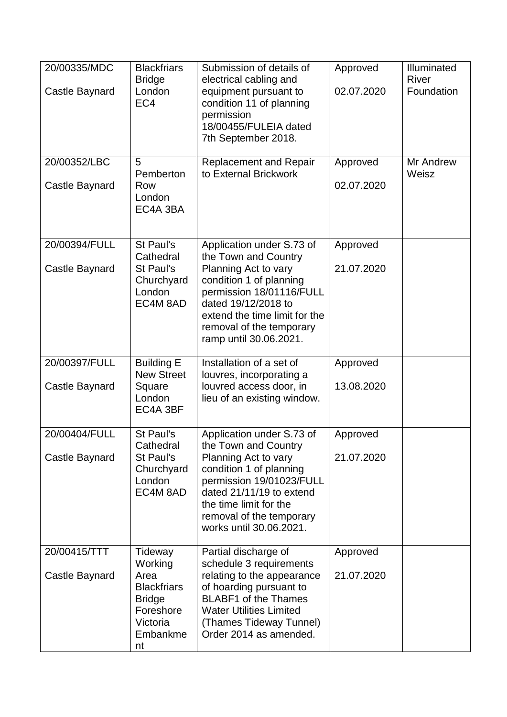| 20/00335/MDC<br>Castle Baynard  | <b>Blackfriars</b><br><b>Bridge</b><br>London<br>EC <sub>4</sub>                                             | Submission of details of<br>electrical cabling and<br>equipment pursuant to<br>condition 11 of planning<br>permission<br>18/00455/FULEIA dated<br>7th September 2018.                                                                          | Approved<br>02.07.2020 | Illuminated<br><b>River</b><br>Foundation |
|---------------------------------|--------------------------------------------------------------------------------------------------------------|------------------------------------------------------------------------------------------------------------------------------------------------------------------------------------------------------------------------------------------------|------------------------|-------------------------------------------|
| 20/00352/LBC<br>Castle Baynard  | 5<br>Pemberton<br>Row<br>London<br>EC4A 3BA                                                                  | <b>Replacement and Repair</b><br>to External Brickwork                                                                                                                                                                                         | Approved<br>02.07.2020 | Mr Andrew<br>Weisz                        |
| 20/00394/FULL<br>Castle Baynard | St Paul's<br>Cathedral<br>St Paul's<br>Churchyard<br>London<br>EC4M 8AD                                      | Application under S.73 of<br>the Town and Country<br>Planning Act to vary<br>condition 1 of planning<br>permission 18/01116/FULL<br>dated 19/12/2018 to<br>extend the time limit for the<br>removal of the temporary<br>ramp until 30.06.2021. | Approved<br>21.07.2020 |                                           |
| 20/00397/FULL<br>Castle Baynard | <b>Building E</b><br><b>New Street</b><br>Square<br>London<br>EC4A 3BF                                       | Installation of a set of<br>louvres, incorporating a<br>louvred access door, in<br>lieu of an existing window.                                                                                                                                 | Approved<br>13.08.2020 |                                           |
| 20/00404/FULL<br>Castle Baynard | St Paul's<br>Cathedral<br>St Paul's<br>Churchyard<br>London<br>EC4M 8AD                                      | Application under S.73 of<br>the Town and Country<br>Planning Act to vary<br>condition 1 of planning<br>permission 19/01023/FULL<br>dated 21/11/19 to extend<br>the time limit for the<br>removal of the temporary<br>works until 30.06.2021.  | Approved<br>21.07.2020 |                                           |
| 20/00415/TTT<br>Castle Baynard  | Tideway<br>Working<br>Area<br><b>Blackfriars</b><br><b>Bridge</b><br>Foreshore<br>Victoria<br>Embankme<br>nt | Partial discharge of<br>schedule 3 requirements<br>relating to the appearance<br>of hoarding pursuant to<br><b>BLABF1 of the Thames</b><br><b>Water Utilities Limited</b><br>(Thames Tideway Tunnel)<br>Order 2014 as amended.                 | Approved<br>21.07.2020 |                                           |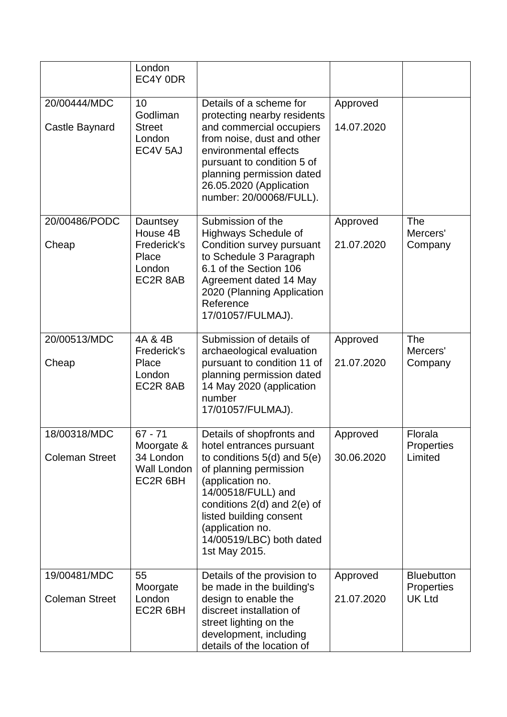|                                       | London<br>EC4Y ODR                                                 |                                                                                                                                                                                                                                                                                             |                        |                                                  |
|---------------------------------------|--------------------------------------------------------------------|---------------------------------------------------------------------------------------------------------------------------------------------------------------------------------------------------------------------------------------------------------------------------------------------|------------------------|--------------------------------------------------|
| 20/00444/MDC<br><b>Castle Baynard</b> | 10<br>Godliman<br><b>Street</b><br>London<br>EC4V <sub>5AJ</sub>   | Details of a scheme for<br>protecting nearby residents<br>and commercial occupiers<br>from noise, dust and other<br>environmental effects<br>pursuant to condition 5 of<br>planning permission dated<br>26.05.2020 (Application<br>number: 20/00068/FULL).                                  | Approved<br>14.07.2020 |                                                  |
| 20/00486/PODC<br>Cheap                | Dauntsey<br>House 4B<br>Frederick's<br>Place<br>London<br>EC2R 8AB | Submission of the<br><b>Highways Schedule of</b><br>Condition survey pursuant<br>to Schedule 3 Paragraph<br>6.1 of the Section 106<br>Agreement dated 14 May<br>2020 (Planning Application<br>Reference<br>17/01057/FULMAJ).                                                                | Approved<br>21.07.2020 | <b>The</b><br>Mercers'<br>Company                |
| 20/00513/MDC<br>Cheap                 | 4A & 4B<br>Frederick's<br>Place<br>London<br>EC2R 8AB              | Submission of details of<br>archaeological evaluation<br>pursuant to condition 11 of<br>planning permission dated<br>14 May 2020 (application<br>number<br>17/01057/FULMAJ).                                                                                                                | Approved<br>21.07.2020 | The<br>Mercers'<br>Company                       |
| 18/00318/MDC<br><b>Coleman Street</b> | $67 - 71$<br>Moorgate &<br>34 London<br>Wall London<br>EC2R 6BH    | Details of shopfronts and<br>hotel entrances pursuant<br>to conditions $5(d)$ and $5(e)$<br>of planning permission<br>(application no.<br>14/00518/FULL) and<br>conditions $2(d)$ and $2(e)$ of<br>listed building consent<br>(application no.<br>14/00519/LBC) both dated<br>1st May 2015. | Approved<br>30.06.2020 | Florala<br>Properties<br>Limited                 |
| 19/00481/MDC<br><b>Coleman Street</b> | 55<br>Moorgate<br>London<br>EC2R 6BH                               | Details of the provision to<br>be made in the building's<br>design to enable the<br>discreet installation of<br>street lighting on the<br>development, including<br>details of the location of                                                                                              | Approved<br>21.07.2020 | <b>Bluebutton</b><br><b>Properties</b><br>UK Ltd |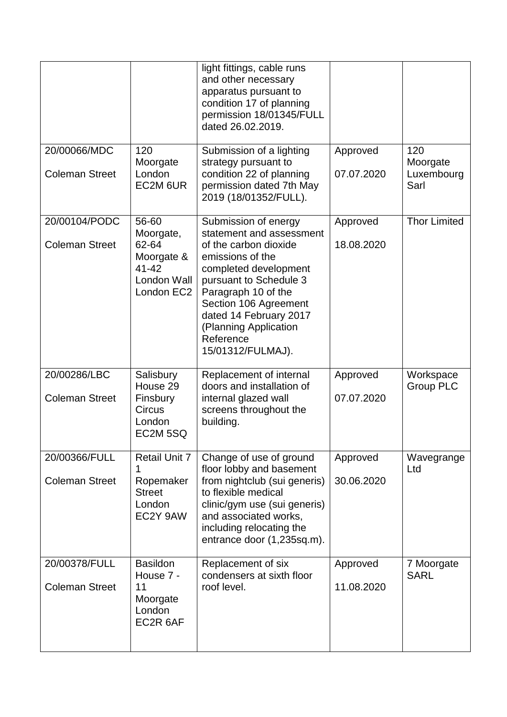|                                        |                                                                                     | light fittings, cable runs<br>and other necessary<br>apparatus pursuant to<br>condition 17 of planning<br>permission 18/01345/FULL<br>dated 26.02.2019.                                                                                                                               |                        |                                       |
|----------------------------------------|-------------------------------------------------------------------------------------|---------------------------------------------------------------------------------------------------------------------------------------------------------------------------------------------------------------------------------------------------------------------------------------|------------------------|---------------------------------------|
| 20/00066/MDC<br><b>Coleman Street</b>  | 120<br>Moorgate<br>London<br>EC2M 6UR                                               | Submission of a lighting<br>strategy pursuant to<br>condition 22 of planning<br>permission dated 7th May<br>2019 (18/01352/FULL).                                                                                                                                                     | Approved<br>07.07.2020 | 120<br>Moorgate<br>Luxembourg<br>Sarl |
| 20/00104/PODC<br><b>Coleman Street</b> | 56-60<br>Moorgate,<br>62-64<br>Moorgate &<br>$41 - 42$<br>London Wall<br>London EC2 | Submission of energy<br>statement and assessment<br>of the carbon dioxide<br>emissions of the<br>completed development<br>pursuant to Schedule 3<br>Paragraph 10 of the<br>Section 106 Agreement<br>dated 14 February 2017<br>(Planning Application<br>Reference<br>15/01312/FULMAJ). | Approved<br>18.08.2020 | <b>Thor Limited</b>                   |
| 20/00286/LBC<br><b>Coleman Street</b>  | Salisbury<br>House 29<br>Finsbury<br><b>Circus</b><br>London<br>EC2M 5SQ            | Replacement of internal<br>doors and installation of<br>internal glazed wall<br>screens throughout the<br>building.                                                                                                                                                                   | Approved<br>07.07.2020 | Workspace<br>Group PLC                |
| 20/00366/FULL<br><b>Coleman Street</b> | <b>Retail Unit 7</b><br>1<br>Ropemaker<br><b>Street</b><br>London<br>EC2Y 9AW       | Change of use of ground<br>floor lobby and basement<br>from nightclub (sui generis)<br>to flexible medical<br>clinic/gym use (sui generis)<br>and associated works,<br>including relocating the<br>entrance door (1,235sq.m).                                                         | Approved<br>30.06.2020 | Wavegrange<br>Ltd                     |
| 20/00378/FULL<br><b>Coleman Street</b> | <b>Basildon</b><br>House 7 -<br>11<br>Moorgate<br>London<br>EC2R 6AF                | Replacement of six<br>condensers at sixth floor<br>roof level.                                                                                                                                                                                                                        | Approved<br>11.08.2020 | 7 Moorgate<br><b>SARL</b>             |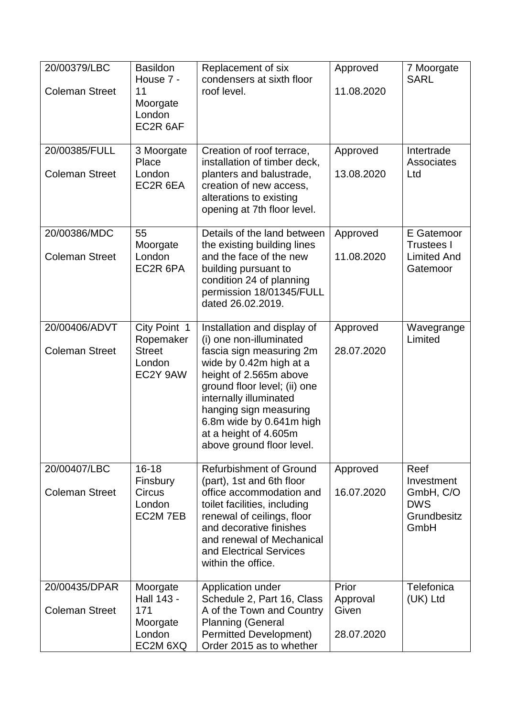| 20/00379/LBC<br><b>Coleman Street</b>  | <b>Basildon</b><br>House 7 -<br>11<br>Moorgate<br>London<br>EC2R 6AF | Replacement of six<br>condensers at sixth floor<br>roof level.                                                                                                                                                                                                                                                | Approved<br>11.08.2020                   | 7 Moorgate<br><b>SARL</b>                                            |
|----------------------------------------|----------------------------------------------------------------------|---------------------------------------------------------------------------------------------------------------------------------------------------------------------------------------------------------------------------------------------------------------------------------------------------------------|------------------------------------------|----------------------------------------------------------------------|
| 20/00385/FULL<br><b>Coleman Street</b> | 3 Moorgate<br>Place<br>London<br>EC2R 6EA                            | Creation of roof terrace,<br>installation of timber deck,<br>planters and balustrade,<br>creation of new access,<br>alterations to existing<br>opening at 7th floor level.                                                                                                                                    | Approved<br>13.08.2020                   | Intertrade<br><b>Associates</b><br>Ltd                               |
| 20/00386/MDC<br><b>Coleman Street</b>  | 55<br>Moorgate<br>London<br>EC2R 6PA                                 | Details of the land between<br>the existing building lines<br>and the face of the new<br>building pursuant to<br>condition 24 of planning<br>permission 18/01345/FULL<br>dated 26.02.2019.                                                                                                                    | Approved<br>11.08.2020                   | E Gatemoor<br>Trustees I<br><b>Limited And</b><br>Gatemoor           |
| 20/00406/ADVT<br><b>Coleman Street</b> | City Point 1<br>Ropemaker<br><b>Street</b><br>London<br>EC2Y 9AW     | Installation and display of<br>(i) one non-illuminated<br>fascia sign measuring 2m<br>wide by 0.42m high at a<br>height of 2.565m above<br>ground floor level; (ii) one<br>internally illuminated<br>hanging sign measuring<br>6.8m wide by 0.641m high<br>at a height of 4.605m<br>above ground floor level. | Approved<br>28.07.2020                   | Wavegrange<br>Limited                                                |
| 20/00407/LBC<br><b>Coleman Street</b>  | $16 - 18$<br>Finsbury<br><b>Circus</b><br>London<br>EC2M 7EB         | <b>Refurbishment of Ground</b><br>(part), 1st and 6th floor<br>office accommodation and<br>toilet facilities, including<br>renewal of ceilings, floor<br>and decorative finishes<br>and renewal of Mechanical<br>and Electrical Services<br>within the office.                                                | Approved<br>16.07.2020                   | Reef<br>Investment<br>GmbH, C/O<br><b>DWS</b><br>Grundbesitz<br>GmbH |
| 20/00435/DPAR<br><b>Coleman Street</b> | Moorgate<br>Hall 143 -<br>171<br>Moorgate<br>London<br>EC2M 6XQ      | Application under<br>Schedule 2, Part 16, Class<br>A of the Town and Country<br><b>Planning (General</b><br><b>Permitted Development)</b><br>Order 2015 as to whether                                                                                                                                         | Prior<br>Approval<br>Given<br>28.07.2020 | Telefonica<br>(UK) Ltd                                               |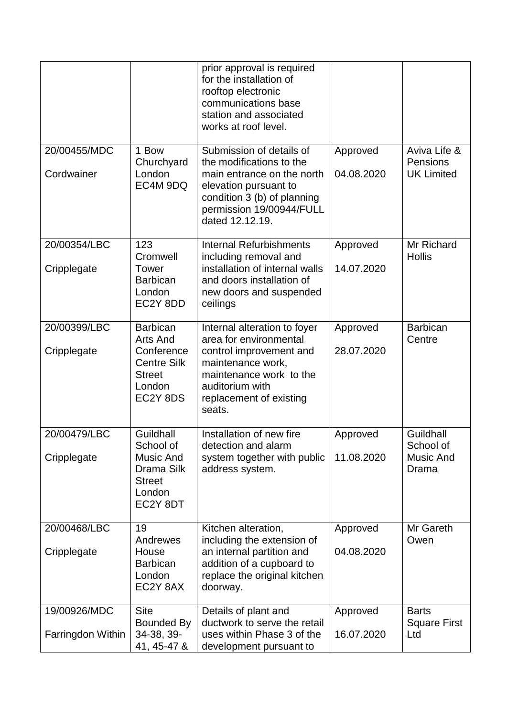|                                   |                                                                                                               | prior approval is required<br>for the installation of<br>rooftop electronic<br>communications base<br>station and associated<br>works at roof level.                                      |                        |                                               |
|-----------------------------------|---------------------------------------------------------------------------------------------------------------|-------------------------------------------------------------------------------------------------------------------------------------------------------------------------------------------|------------------------|-----------------------------------------------|
| 20/00455/MDC<br>Cordwainer        | 1 Bow<br>Churchyard<br>London<br>EC4M 9DQ                                                                     | Submission of details of<br>the modifications to the<br>main entrance on the north<br>elevation pursuant to<br>condition 3 (b) of planning<br>permission 19/00944/FULL<br>dated 12.12.19. | Approved<br>04.08.2020 | Aviva Life &<br>Pensions<br><b>UK Limited</b> |
| 20/00354/LBC<br>Cripplegate       | 123<br>Cromwell<br>Tower<br><b>Barbican</b><br>London<br>EC2Y 8DD                                             | <b>Internal Refurbishments</b><br>including removal and<br>installation of internal walls<br>and doors installation of<br>new doors and suspended<br>ceilings                             | Approved<br>14.07.2020 | Mr Richard<br><b>Hollis</b>                   |
| 20/00399/LBC<br>Cripplegate       | <b>Barbican</b><br><b>Arts And</b><br>Conference<br><b>Centre Silk</b><br><b>Street</b><br>London<br>EC2Y 8DS | Internal alteration to foyer<br>area for environmental<br>control improvement and<br>maintenance work,<br>maintenance work to the<br>auditorium with<br>replacement of existing<br>seats. | Approved<br>28.07.2020 | <b>Barbican</b><br>Centre                     |
| 20/00479/LBC<br>Cripplegate       | Guildhall<br>School of<br>Music And<br>Drama Silk<br><b>Street</b><br>London<br>EC2Y 8DT                      | Installation of new fire<br>detection and alarm<br>system together with public<br>address system.                                                                                         | Approved<br>11.08.2020 | Guildhall<br>School of<br>Music And<br>Drama  |
| 20/00468/LBC<br>Cripplegate       | 19<br>Andrewes<br>House<br><b>Barbican</b><br>London<br>EC2Y 8AX                                              | Kitchen alteration,<br>including the extension of<br>an internal partition and<br>addition of a cupboard to<br>replace the original kitchen<br>doorway.                                   | Approved<br>04.08.2020 | Mr Gareth<br>Owen                             |
| 19/00926/MDC<br>Farringdon Within | <b>Site</b><br><b>Bounded By</b><br>34-38, 39-<br>41, 45-47 &                                                 | Details of plant and<br>ductwork to serve the retail<br>uses within Phase 3 of the<br>development pursuant to                                                                             | Approved<br>16.07.2020 | <b>Barts</b><br><b>Square First</b><br>Ltd    |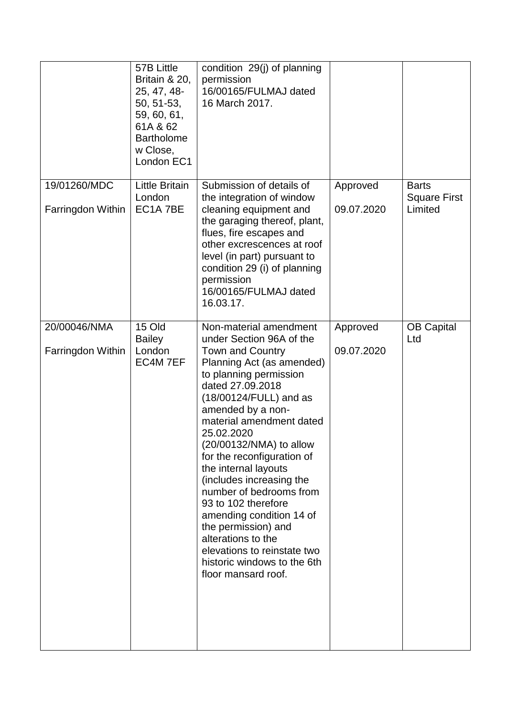|                                   | 57B Little<br>Britain & 20,<br>25, 47, 48-<br>$50, 51-53,$<br>59, 60, 61,<br>61A & 62<br><b>Bartholome</b><br>w Close,<br>London EC1 | condition 29(j) of planning<br>permission<br>16/00165/FULMAJ dated<br>16 March 2017.                                                                                                                                                                                                                                                                                                                                                                                                                                                                                    |                        |                                                |
|-----------------------------------|--------------------------------------------------------------------------------------------------------------------------------------|-------------------------------------------------------------------------------------------------------------------------------------------------------------------------------------------------------------------------------------------------------------------------------------------------------------------------------------------------------------------------------------------------------------------------------------------------------------------------------------------------------------------------------------------------------------------------|------------------------|------------------------------------------------|
| 19/01260/MDC<br>Farringdon Within | <b>Little Britain</b><br>London<br>EC1A 7BE                                                                                          | Submission of details of<br>the integration of window<br>cleaning equipment and<br>the garaging thereof, plant,<br>flues, fire escapes and<br>other excrescences at roof<br>level (in part) pursuant to<br>condition 29 (i) of planning<br>permission<br>16/00165/FULMAJ dated<br>16.03.17.                                                                                                                                                                                                                                                                             | Approved<br>09.07.2020 | <b>Barts</b><br><b>Square First</b><br>Limited |
| 20/00046/NMA<br>Farringdon Within | 15 Old<br><b>Bailey</b><br>London<br>EC4M 7EF                                                                                        | Non-material amendment<br>under Section 96A of the<br>Town and Country<br>Planning Act (as amended)<br>to planning permission<br>dated 27.09.2018<br>(18/00124/FULL) and as<br>amended by a non-<br>material amendment dated<br>25.02.2020<br>(20/00132/NMA) to allow<br>for the reconfiguration of<br>the internal layouts<br>(includes increasing the<br>number of bedrooms from<br>93 to 102 therefore<br>amending condition 14 of<br>the permission) and<br>alterations to the<br>elevations to reinstate two<br>historic windows to the 6th<br>floor mansard roof. | Approved<br>09.07.2020 | <b>OB Capital</b><br>Ltd                       |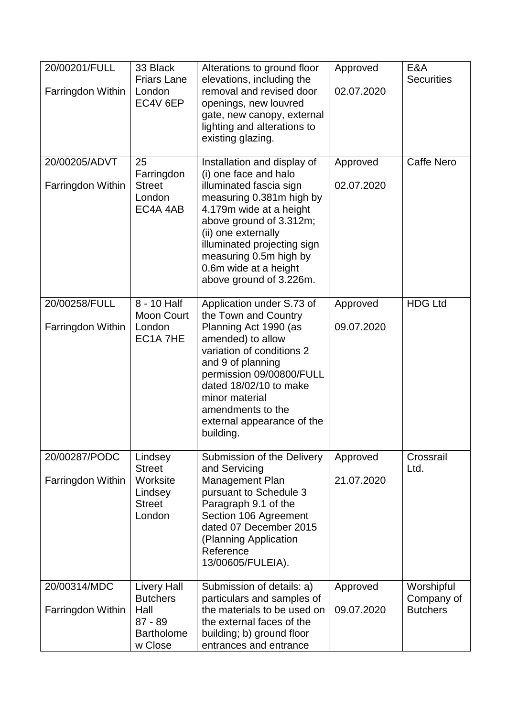| 20/00201/FULL<br>Farringdon Within | 33 Black<br><b>Friars Lane</b><br>London<br>EC4V <sub>6EP</sub>                            | Alterations to ground floor<br>elevations, including the<br>removal and revised door<br>openings, new louvred<br>gate, new canopy, external<br>lighting and alterations to<br>existing glazing.                                                                                                       | Approved<br>02.07.2020 | E&A<br><b>Securities</b>                    |
|------------------------------------|--------------------------------------------------------------------------------------------|-------------------------------------------------------------------------------------------------------------------------------------------------------------------------------------------------------------------------------------------------------------------------------------------------------|------------------------|---------------------------------------------|
| 20/00205/ADVT<br>Farringdon Within | 25<br>Farringdon<br><b>Street</b><br>London<br>EC4A 4AB                                    | Installation and display of<br>(i) one face and halo<br>illuminated fascia sign<br>measuring 0.381m high by<br>4.179m wide at a height<br>above ground of 3.312m;<br>(ii) one externally<br>illuminated projecting sign<br>measuring 0.5m high by<br>0.6m wide at a height<br>above ground of 3.226m. | Approved<br>02.07.2020 | <b>Caffe Nero</b>                           |
| 20/00258/FULL<br>Farringdon Within | 8 - 10 Half<br><b>Moon Court</b><br>London<br>EC1A 7HE                                     | Application under S.73 of<br>the Town and Country<br>Planning Act 1990 (as<br>amended) to allow<br>variation of conditions 2<br>and 9 of planning<br>permission 09/00800/FULL<br>dated 18/02/10 to make<br>minor material<br>amendments to the<br>external appearance of the<br>building.             | Approved<br>09.07.2020 | <b>HDG Ltd</b>                              |
| 20/00287/PODC<br>Farringdon Within | Lindsey<br><b>Street</b><br>Worksite<br>Lindsey<br><b>Street</b><br>London                 | Submission of the Delivery<br>and Servicing<br>Management Plan<br>pursuant to Schedule 3<br>Paragraph 9.1 of the<br>Section 106 Agreement<br>dated 07 December 2015<br>(Planning Application<br>Reference<br>13/00605/FULEIA).                                                                        | Approved<br>21.07.2020 | Crossrail<br>Ltd.                           |
| 20/00314/MDC<br>Farringdon Within  | <b>Livery Hall</b><br><b>Butchers</b><br>Hall<br>$87 - 89$<br><b>Bartholome</b><br>w Close | Submission of details: a)<br>particulars and samples of<br>the materials to be used on<br>the external faces of the<br>building; b) ground floor<br>entrances and entrance                                                                                                                            | Approved<br>09.07.2020 | Worshipful<br>Company of<br><b>Butchers</b> |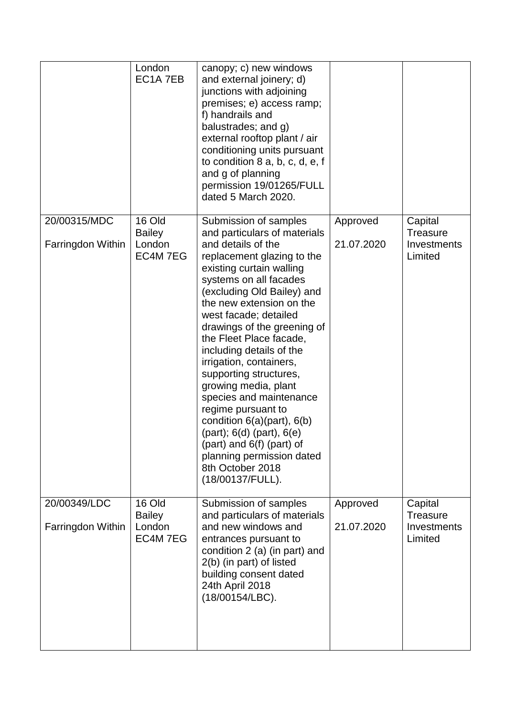|                                   | London<br>EC1A 7EB                            | canopy; c) new windows<br>and external joinery; d)<br>junctions with adjoining<br>premises; e) access ramp;<br>f) handrails and<br>balustrades; and g)<br>external rooftop plant / air<br>conditioning units pursuant<br>to condition $8a$ , $b$ , $c$ , $d$ , $e$ , $f$<br>and g of planning<br>permission 19/01265/FULL<br>dated 5 March 2020.                                                                                                                                                                                                                                                                                                  |                        |                                                      |
|-----------------------------------|-----------------------------------------------|---------------------------------------------------------------------------------------------------------------------------------------------------------------------------------------------------------------------------------------------------------------------------------------------------------------------------------------------------------------------------------------------------------------------------------------------------------------------------------------------------------------------------------------------------------------------------------------------------------------------------------------------------|------------------------|------------------------------------------------------|
| 20/00315/MDC<br>Farringdon Within | 16 Old<br><b>Bailey</b><br>London<br>EC4M 7EG | Submission of samples<br>and particulars of materials<br>and details of the<br>replacement glazing to the<br>existing curtain walling<br>systems on all facades<br>(excluding Old Bailey) and<br>the new extension on the<br>west facade; detailed<br>drawings of the greening of<br>the Fleet Place facade,<br>including details of the<br>irrigation, containers,<br>supporting structures,<br>growing media, plant<br>species and maintenance<br>regime pursuant to<br>condition $6(a)$ (part), $6(b)$<br>$(part)$ ; $6(d)$ (part), $6(e)$<br>(part) and $6(f)$ (part) of<br>planning permission dated<br>8th October 2018<br>(18/00137/FULL). | Approved<br>21.07.2020 | Capital<br>Treasure<br>Investments<br>Limited        |
| 20/00349/LDC<br>Farringdon Within | 16 Old<br><b>Bailey</b><br>London<br>EC4M7EG  | Submission of samples<br>and particulars of materials<br>and new windows and<br>entrances pursuant to<br>condition 2 (a) (in part) and<br>2(b) (in part) of listed<br>building consent dated<br>24th April 2018<br>(18/00154/LBC).                                                                                                                                                                                                                                                                                                                                                                                                                | Approved<br>21.07.2020 | Capital<br><b>Treasure</b><br>Investments<br>Limited |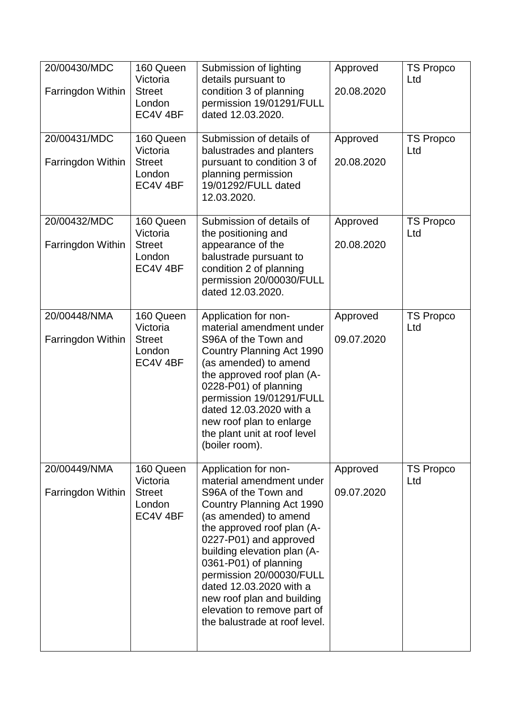| 20/00430/MDC<br>Farringdon Within | 160 Queen<br>Victoria<br><b>Street</b><br>London<br>EC4V 4BF | Submission of lighting<br>details pursuant to<br>condition 3 of planning<br>permission 19/01291/FULL<br>dated 12.03.2020.                                                                                                                                                                                                                                                                           | Approved<br>20.08.2020 | <b>TS Propco</b><br>Ltd |
|-----------------------------------|--------------------------------------------------------------|-----------------------------------------------------------------------------------------------------------------------------------------------------------------------------------------------------------------------------------------------------------------------------------------------------------------------------------------------------------------------------------------------------|------------------------|-------------------------|
| 20/00431/MDC<br>Farringdon Within | 160 Queen<br>Victoria<br><b>Street</b><br>London<br>EC4V 4BF | Submission of details of<br>balustrades and planters<br>pursuant to condition 3 of<br>planning permission<br>19/01292/FULL dated<br>12.03.2020.                                                                                                                                                                                                                                                     | Approved<br>20.08.2020 | <b>TS Propco</b><br>Ltd |
| 20/00432/MDC<br>Farringdon Within | 160 Queen<br>Victoria<br><b>Street</b><br>London<br>EC4V 4BF | Submission of details of<br>the positioning and<br>appearance of the<br>balustrade pursuant to<br>condition 2 of planning<br>permission 20/00030/FULL<br>dated 12.03.2020.                                                                                                                                                                                                                          | Approved<br>20.08.2020 | <b>TS Propco</b><br>Ltd |
| 20/00448/NMA<br>Farringdon Within | 160 Queen<br>Victoria<br><b>Street</b><br>London<br>EC4V 4BF | Application for non-<br>material amendment under<br>S96A of the Town and<br>Country Planning Act 1990<br>(as amended) to amend<br>the approved roof plan (A-<br>0228-P01) of planning<br>permission 19/01291/FULL<br>dated 12.03.2020 with a<br>new roof plan to enlarge<br>the plant unit at roof level<br>(boiler room).                                                                          | Approved<br>09.07.2020 | <b>TS Propco</b><br>Ltd |
| 20/00449/NMA<br>Farringdon Within | 160 Queen<br>Victoria<br><b>Street</b><br>London<br>EC4V 4BF | Application for non-<br>material amendment under<br>S96A of the Town and<br>Country Planning Act 1990<br>(as amended) to amend<br>the approved roof plan (A-<br>0227-P01) and approved<br>building elevation plan (A-<br>0361-P01) of planning<br>permission 20/00030/FULL<br>dated 12.03.2020 with a<br>new roof plan and building<br>elevation to remove part of<br>the balustrade at roof level. | Approved<br>09.07.2020 | <b>TS Propco</b><br>Ltd |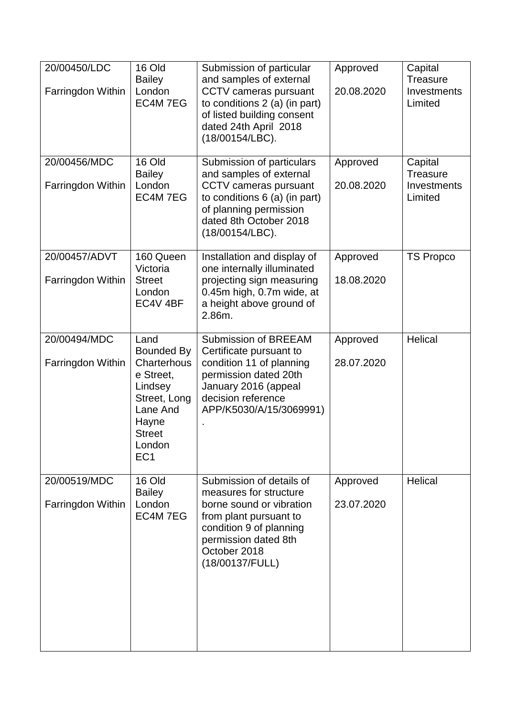| 20/00450/LDC<br>Farringdon Within  | 16 Old<br><b>Bailey</b><br>London<br>EC4M7EG                                                                                                        | Submission of particular<br>and samples of external<br>CCTV cameras pursuant<br>to conditions 2 (a) (in part)<br>of listed building consent<br>dated 24th April 2018<br>(18/00154/LBC).        | Approved<br>20.08.2020 | Capital<br><b>Treasure</b><br>Investments<br>Limited |
|------------------------------------|-----------------------------------------------------------------------------------------------------------------------------------------------------|------------------------------------------------------------------------------------------------------------------------------------------------------------------------------------------------|------------------------|------------------------------------------------------|
| 20/00456/MDC<br>Farringdon Within  | 16 Old<br><b>Bailey</b><br>London<br>EC4M7EG                                                                                                        | Submission of particulars<br>and samples of external<br>CCTV cameras pursuant<br>to conditions 6 (a) (in part)<br>of planning permission<br>dated 8th October 2018<br>(18/00154/LBC).          | Approved<br>20.08.2020 | Capital<br><b>Treasure</b><br>Investments<br>Limited |
| 20/00457/ADVT<br>Farringdon Within | 160 Queen<br>Victoria<br><b>Street</b><br>London<br>EC4V 4BF                                                                                        | Installation and display of<br>one internally illuminated<br>projecting sign measuring<br>0.45m high, 0.7m wide, at<br>a height above ground of<br>2.86m.                                      | Approved<br>18.08.2020 | <b>TS Propco</b>                                     |
| 20/00494/MDC<br>Farringdon Within  | Land<br><b>Bounded By</b><br>Charterhous<br>e Street,<br>Lindsey<br>Street, Long<br>Lane And<br>Hayne<br><b>Street</b><br>London<br>EC <sub>1</sub> | <b>Submission of BREEAM</b><br>Certificate pursuant to<br>condition 11 of planning<br>permission dated 20th<br>January 2016 (appeal<br>decision reference<br>APP/K5030/A/15/3069991)           | Approved<br>28.07.2020 | Helical                                              |
| 20/00519/MDC<br>Farringdon Within  | 16 Old<br><b>Bailey</b><br>London<br>EC4M7EG                                                                                                        | Submission of details of<br>measures for structure<br>borne sound or vibration<br>from plant pursuant to<br>condition 9 of planning<br>permission dated 8th<br>October 2018<br>(18/00137/FULL) | Approved<br>23.07.2020 | Helical                                              |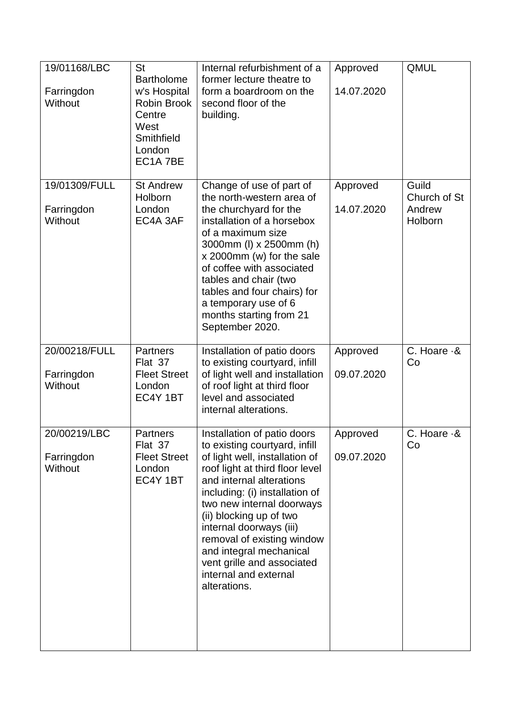| 19/01168/LBC<br>Farringdon<br>Without  | <b>St</b><br><b>Bartholome</b><br>w's Hospital<br>Robin Brook<br>Centre<br>West<br>Smithfield<br>London<br>EC1A 7BE | Internal refurbishment of a<br>former lecture theatre to<br>form a boardroom on the<br>second floor of the<br>building.                                                                                                                                                                                                                                                                                            | Approved<br>14.07.2020 | QMUL                                       |
|----------------------------------------|---------------------------------------------------------------------------------------------------------------------|--------------------------------------------------------------------------------------------------------------------------------------------------------------------------------------------------------------------------------------------------------------------------------------------------------------------------------------------------------------------------------------------------------------------|------------------------|--------------------------------------------|
| 19/01309/FULL<br>Farringdon<br>Without | <b>St Andrew</b><br>Holborn<br>London<br>EC4A 3AF                                                                   | Change of use of part of<br>the north-western area of<br>the churchyard for the<br>installation of a horsebox<br>of a maximum size<br>3000mm (I) x 2500mm (h)<br>x 2000mm (w) for the sale<br>of coffee with associated<br>tables and chair (two<br>tables and four chairs) for<br>a temporary use of 6<br>months starting from 21<br>September 2020.                                                              | Approved<br>14.07.2020 | Guild<br>Church of St<br>Andrew<br>Holborn |
| 20/00218/FULL<br>Farringdon<br>Without | <b>Partners</b><br>Flat 37<br><b>Fleet Street</b><br>London<br>EC4Y 1BT                                             | Installation of patio doors<br>to existing courtyard, infill<br>of light well and installation<br>of roof light at third floor<br>level and associated<br>internal alterations.                                                                                                                                                                                                                                    | Approved<br>09.07.2020 | C. Hoare -&<br>Co                          |
| 20/00219/LBC<br>Farringdon<br>Without  | <b>Partners</b><br>Flat 37<br><b>Fleet Street</b><br>London<br>EC4Y 1BT                                             | Installation of patio doors<br>to existing courtyard, infill<br>of light well, installation of<br>roof light at third floor level<br>and internal alterations<br>including: (i) installation of<br>two new internal doorways<br>(ii) blocking up of two<br>internal doorways (iii)<br>removal of existing window<br>and integral mechanical<br>vent grille and associated<br>internal and external<br>alterations. | Approved<br>09.07.2020 | C. Hoare $-8$<br>Co                        |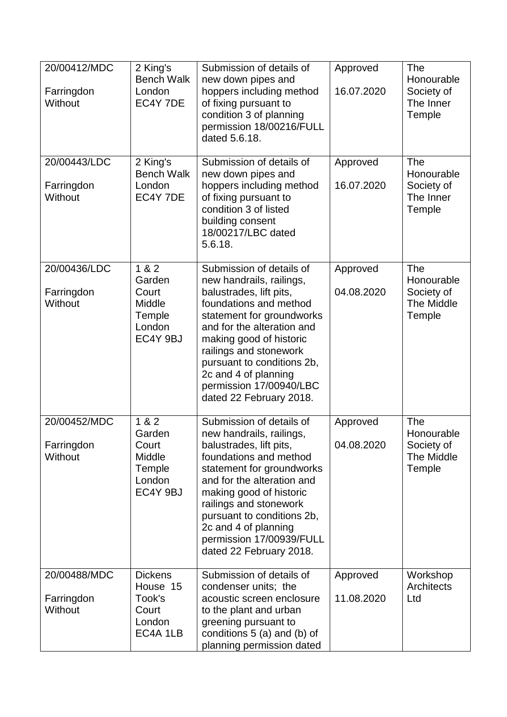| 20/00412/MDC<br>Farringdon<br>Without | 2 King's<br><b>Bench Walk</b><br>London<br>EC4Y 7DE                 | Submission of details of<br>new down pipes and<br>hoppers including method<br>of fixing pursuant to<br>condition 3 of planning<br>permission 18/00216/FULL<br>dated 5.6.18.                                                                                                                                                            | Approved<br>16.07.2020 | The<br>Honourable<br>Society of<br>The Inner<br>Temple        |
|---------------------------------------|---------------------------------------------------------------------|----------------------------------------------------------------------------------------------------------------------------------------------------------------------------------------------------------------------------------------------------------------------------------------------------------------------------------------|------------------------|---------------------------------------------------------------|
| 20/00443/LDC<br>Farringdon<br>Without | 2 King's<br><b>Bench Walk</b><br>London<br>EC4Y 7DE                 | Submission of details of<br>new down pipes and<br>hoppers including method<br>of fixing pursuant to<br>condition 3 of listed<br>building consent<br>18/00217/LBC dated<br>5.6.18.                                                                                                                                                      | Approved<br>16.07.2020 | <b>The</b><br>Honourable<br>Society of<br>The Inner<br>Temple |
| 20/00436/LDC<br>Farringdon<br>Without | 1 & 2<br>Garden<br>Court<br>Middle<br>Temple<br>London<br>EC4Y 9BJ  | Submission of details of<br>new handrails, railings,<br>balustrades, lift pits,<br>foundations and method<br>statement for groundworks<br>and for the alteration and<br>making good of historic<br>railings and stonework<br>pursuant to conditions 2b,<br>2c and 4 of planning<br>permission 17/00940/LBC<br>dated 22 February 2018.  | Approved<br>04.08.2020 | The<br>Honourable<br>Society of<br>The Middle<br>Temple       |
| 20/00452/MDC<br>Farringdon<br>Without | 1 & 2<br>Garden<br>Court<br>Middle<br>Temple<br>London<br>EC4Y 9BJ  | Submission of details of<br>new handrails, railings,<br>balustrades, lift pits,<br>foundations and method<br>statement for groundworks<br>and for the alteration and<br>making good of historic<br>railings and stonework<br>pursuant to conditions 2b,<br>2c and 4 of planning<br>permission 17/00939/FULL<br>dated 22 February 2018. | Approved<br>04.08.2020 | The<br>Honourable<br>Society of<br>The Middle<br>Temple       |
| 20/00488/MDC<br>Farringdon<br>Without | <b>Dickens</b><br>House 15<br>Took's<br>Court<br>London<br>EC4A 1LB | Submission of details of<br>condenser units; the<br>acoustic screen enclosure<br>to the plant and urban<br>greening pursuant to<br>conditions 5 (a) and (b) of<br>planning permission dated                                                                                                                                            | Approved<br>11.08.2020 | Workshop<br>Architects<br>Ltd                                 |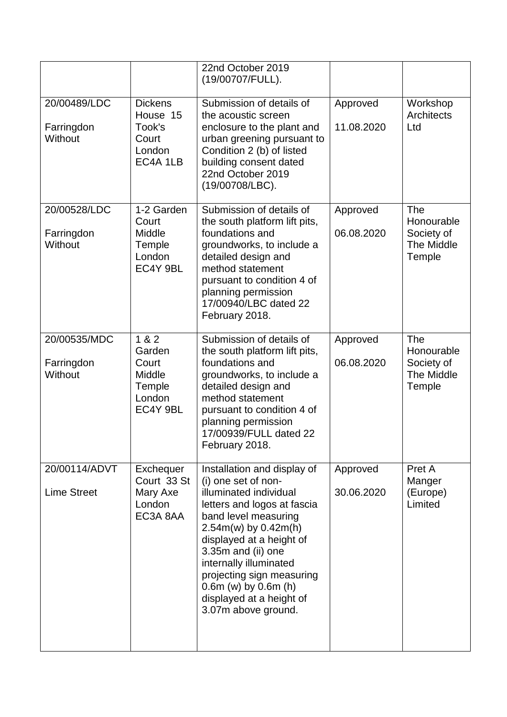|                                       |                                                                     | 22nd October 2019<br>(19/00707/FULL).                                                                                                                                                                                                                                                                                                                 |                        |                                                         |
|---------------------------------------|---------------------------------------------------------------------|-------------------------------------------------------------------------------------------------------------------------------------------------------------------------------------------------------------------------------------------------------------------------------------------------------------------------------------------------------|------------------------|---------------------------------------------------------|
| 20/00489/LDC<br>Farringdon<br>Without | <b>Dickens</b><br>House 15<br>Took's<br>Court<br>London<br>EC4A 1LB | Submission of details of<br>the acoustic screen<br>enclosure to the plant and<br>urban greening pursuant to<br>Condition 2 (b) of listed<br>building consent dated<br>22nd October 2019<br>(19/00708/LBC).                                                                                                                                            | Approved<br>11.08.2020 | Workshop<br><b>Architects</b><br>Ltd                    |
| 20/00528/LDC<br>Farringdon<br>Without | 1-2 Garden<br>Court<br>Middle<br>Temple<br>London<br>EC4Y 9BL       | Submission of details of<br>the south platform lift pits,<br>foundations and<br>groundworks, to include a<br>detailed design and<br>method statement<br>pursuant to condition 4 of<br>planning permission<br>17/00940/LBC dated 22<br>February 2018.                                                                                                  | Approved<br>06.08.2020 | The<br>Honourable<br>Society of<br>The Middle<br>Temple |
| 20/00535/MDC<br>Farringdon<br>Without | 1 & 2<br>Garden<br>Court<br>Middle<br>Temple<br>London<br>EC4Y 9BL  | Submission of details of<br>the south platform lift pits,<br>foundations and<br>groundworks, to include a<br>detailed design and<br>method statement<br>pursuant to condition 4 of<br>planning permission<br>17/00939/FULL dated 22<br>February 2018.                                                                                                 | Approved<br>06.08.2020 | The<br>Honourable<br>Society of<br>The Middle<br>Temple |
| 20/00114/ADVT<br><b>Lime Street</b>   | Exchequer<br>Court 33 St<br>Mary Axe<br>London<br>EC3A 8AA          | Installation and display of<br>(i) one set of non-<br>illuminated individual<br>letters and logos at fascia<br>band level measuring<br>$2.54m(w)$ by 0.42m(h)<br>displayed at a height of<br>3.35m and (ii) one<br>internally illuminated<br>projecting sign measuring<br>$0.6m$ (w) by $0.6m$ (h)<br>displayed at a height of<br>3.07m above ground. | Approved<br>30.06.2020 | Pret A<br>Manger<br>(Europe)<br>Limited                 |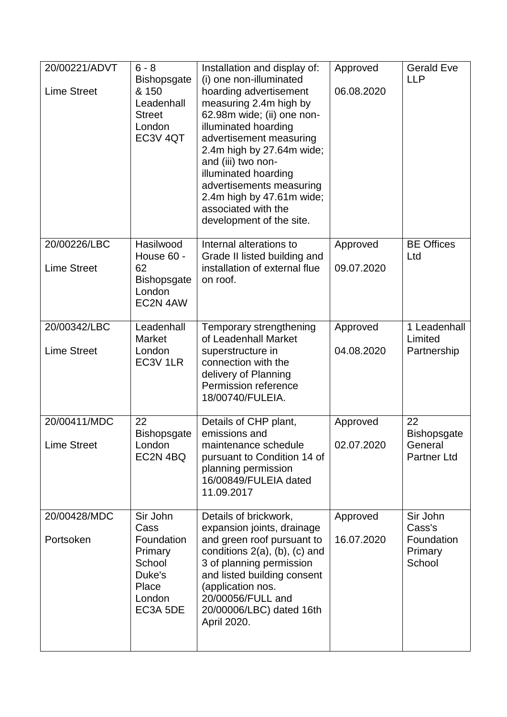| 20/00221/ADVT<br><b>Lime Street</b> | $6 - 8$<br><b>Bishopsgate</b><br>& 150<br>Leadenhall<br><b>Street</b><br>London<br>EC3V 4QT  | Installation and display of:<br>(i) one non-illuminated<br>hoarding advertisement<br>measuring 2.4m high by<br>62.98m wide; (ii) one non-<br>illuminated hoarding<br>advertisement measuring<br>2.4m high by 27.64m wide;<br>and (iii) two non-<br>illuminated hoarding<br>advertisements measuring<br>2.4m high by 47.61m wide;<br>associated with the<br>development of the site. | Approved<br>06.08.2020 | <b>Gerald Eve</b><br><b>LLP</b>                           |
|-------------------------------------|----------------------------------------------------------------------------------------------|-------------------------------------------------------------------------------------------------------------------------------------------------------------------------------------------------------------------------------------------------------------------------------------------------------------------------------------------------------------------------------------|------------------------|-----------------------------------------------------------|
| 20/00226/LBC<br><b>Lime Street</b>  | Hasilwood<br>House 60 -<br>62<br><b>Bishopsgate</b><br>London<br>EC2N 4AW                    | Internal alterations to<br>Grade II listed building and<br>installation of external flue<br>on roof.                                                                                                                                                                                                                                                                                | Approved<br>09.07.2020 | <b>BE Offices</b><br>Ltd                                  |
| 20/00342/LBC<br><b>Lime Street</b>  | Leadenhall<br>Market<br>London<br>EC3V 1LR                                                   | Temporary strengthening<br>of Leadenhall Market<br>superstructure in<br>connection with the<br>delivery of Planning<br>Permission reference<br>18/00740/FULEIA.                                                                                                                                                                                                                     | Approved<br>04.08.2020 | 1 Leadenhall<br>Limited<br>Partnership                    |
| 20/00411/MDC<br><b>Lime Street</b>  | 22<br><b>Bishopsgate</b><br>London<br>EC2N 4BQ                                               | Details of CHP plant,<br>emissions and<br>maintenance schedule<br>pursuant to Condition 14 of<br>planning permission<br>16/00849/FULEIA dated<br>11.09.2017                                                                                                                                                                                                                         | Approved<br>02.07.2020 | 22<br><b>Bishopsgate</b><br>General<br><b>Partner Ltd</b> |
| 20/00428/MDC<br>Portsoken           | Sir John<br>Cass<br>Foundation<br>Primary<br>School<br>Duke's<br>Place<br>London<br>EC3A 5DE | Details of brickwork,<br>expansion joints, drainage<br>and green roof pursuant to<br>conditions $2(a)$ , $(b)$ , $(c)$ and<br>3 of planning permission<br>and listed building consent<br>(application nos.<br>20/00056/FULL and<br>20/00006/LBC) dated 16th<br>April 2020.                                                                                                          | Approved<br>16.07.2020 | Sir John<br>Cass's<br>Foundation<br>Primary<br>School     |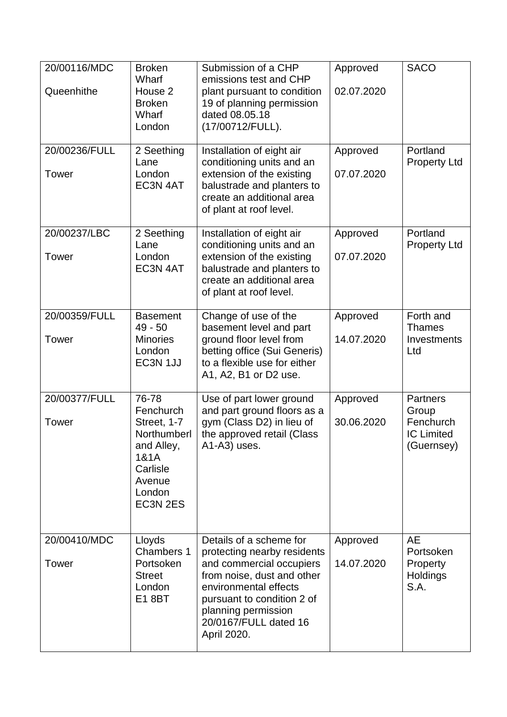| 20/00116/MDC<br>Queenhithe    | <b>Broken</b><br>Wharf<br>House <sub>2</sub><br><b>Broken</b><br>Wharf<br>London                                   | Submission of a CHP<br>emissions test and CHP<br>plant pursuant to condition<br>19 of planning permission<br>dated 08.05.18<br>(17/00712/FULL).                                                                                        | Approved<br>02.07.2020 | <b>SACO</b>                                                              |
|-------------------------------|--------------------------------------------------------------------------------------------------------------------|----------------------------------------------------------------------------------------------------------------------------------------------------------------------------------------------------------------------------------------|------------------------|--------------------------------------------------------------------------|
| 20/00236/FULL<br>Tower        | 2 Seething<br>Lane<br>London<br>EC3N 4AT                                                                           | Installation of eight air<br>conditioning units and an<br>extension of the existing<br>balustrade and planters to<br>create an additional area<br>of plant at roof level.                                                              | Approved<br>07.07.2020 | Portland<br><b>Property Ltd</b>                                          |
| 20/00237/LBC<br>Tower         | 2 Seething<br>Lane<br>London<br>EC3N 4AT                                                                           | Installation of eight air<br>conditioning units and an<br>extension of the existing<br>balustrade and planters to<br>create an additional area<br>of plant at roof level.                                                              | Approved<br>07.07.2020 | Portland<br><b>Property Ltd</b>                                          |
| 20/00359/FULL<br><b>Tower</b> | <b>Basement</b><br>49 - 50<br><b>Minories</b><br>London<br>EC3N 1JJ                                                | Change of use of the<br>basement level and part<br>ground floor level from<br>betting office (Sui Generis)<br>to a flexible use for either<br>A1, A2, B1 or D2 use.                                                                    | Approved<br>14.07.2020 | Forth and<br><b>Thames</b><br>Investments<br>Ltd                         |
| 20/00377/FULL<br><b>Tower</b> | 76-78<br>Fenchurch<br>Street, 1-7<br>Northumberl<br>and Alley,<br>1&1A<br>Carlisle<br>Avenue<br>London<br>EC3N 2ES | Use of part lower ground<br>and part ground floors as a<br>gym (Class D2) in lieu of<br>the approved retail (Class<br>A1-A3) uses.                                                                                                     | Approved<br>30.06.2020 | <b>Partners</b><br>Group<br>Fenchurch<br><b>IC Limited</b><br>(Guernsey) |
| 20/00410/MDC<br>Tower         | Lloyds<br><b>Chambers 1</b><br>Portsoken<br><b>Street</b><br>London<br><b>E18BT</b>                                | Details of a scheme for<br>protecting nearby residents<br>and commercial occupiers<br>from noise, dust and other<br>environmental effects<br>pursuant to condition 2 of<br>planning permission<br>20/0167/FULL dated 16<br>April 2020. | Approved<br>14.07.2020 | AE<br>Portsoken<br>Property<br><b>Holdings</b><br>S.A.                   |